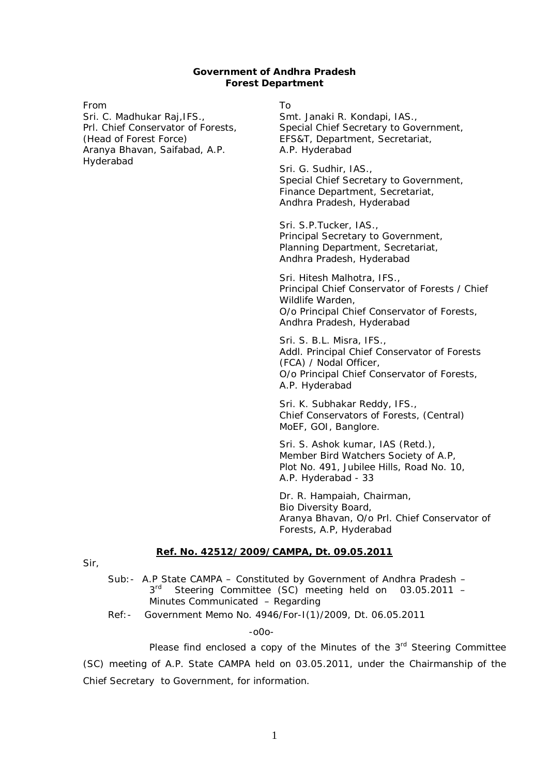#### **Government of Andhra Pradesh Forest Department**

From

Sri. C. Madhukar Raj,IFS., Prl. Chief Conservator of Forests, (Head of Forest Force) Aranya Bhavan, Saifabad, A.P. Hyderabad

To

Smt. Janaki R. Kondapi, IAS., Special Chief Secretary to Government, EFS&T, Department, Secretariat, A.P. Hyderabad

Sri. G. Sudhir, IAS., Special Chief Secretary to Government, Finance Department, Secretariat, Andhra Pradesh, Hyderabad

Sri. S.P.Tucker, IAS., Principal Secretary to Government, Planning Department, Secretariat, Andhra Pradesh, Hyderabad

Sri. Hitesh Malhotra, IFS., Principal Chief Conservator of Forests / Chief Wildlife Warden, O/o Principal Chief Conservator of Forests, Andhra Pradesh, Hyderabad

Sri. S. B.L. Misra, IFS., Addl. Principal Chief Conservator of Forests (FCA) / Nodal Officer, O/o Principal Chief Conservator of Forests, A.P. Hyderabad

Sri. K. Subhakar Reddy, IFS., Chief Conservators of Forests, (Central) MoEF, GOI, Banglore.

Sri. S. Ashok kumar, IAS (Retd.), Member Bird Watchers Society of A.P, Plot No. 491, Jubilee Hills, Road No. 10, A.P. Hyderabad - 33

Dr. R. Hampaiah, Chairman, Bio Diversity Board, Aranya Bhavan, O/o Prl. Chief Conservator of Forests, A.P, Hyderabad

#### **Ref. No. 42512/2009/CAMPA, Dt. 09.05.2011**

Sir,

- Sub:- A.P State CAMPA Constituted by Government of Andhra Pradesh 3<sup>rd</sup> Steering Committee (SC) meeting held on 03.05.2011 -Minutes Communicated – Regarding
- Ref:- Government Memo No. 4946/For-I(1)/2009, Dt. 06.05.2011

-o0o-

Please find enclosed a copy of the Minutes of the 3<sup>rd</sup> Steering Committee (SC) meeting of A.P. State CAMPA held on 03.05.2011, under the Chairmanship of the Chief Secretary to Government, for information.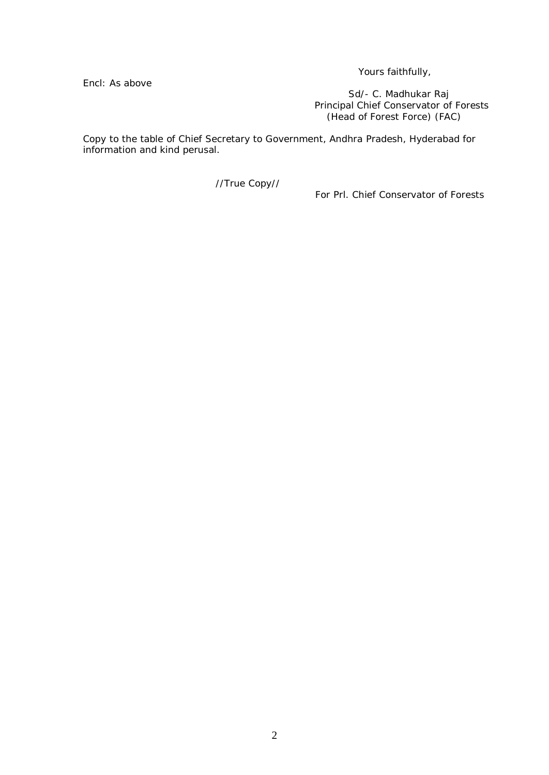Yours faithfully,

Encl: As above

*Sd/- C. Madhukar Raj* Principal Chief Conservator of Forests (Head of Forest Force) (FAC)

Copy to the table of Chief Secretary to Government, Andhra Pradesh, Hyderabad for information and kind perusal.

//True Copy//

For Prl. Chief Conservator of Forests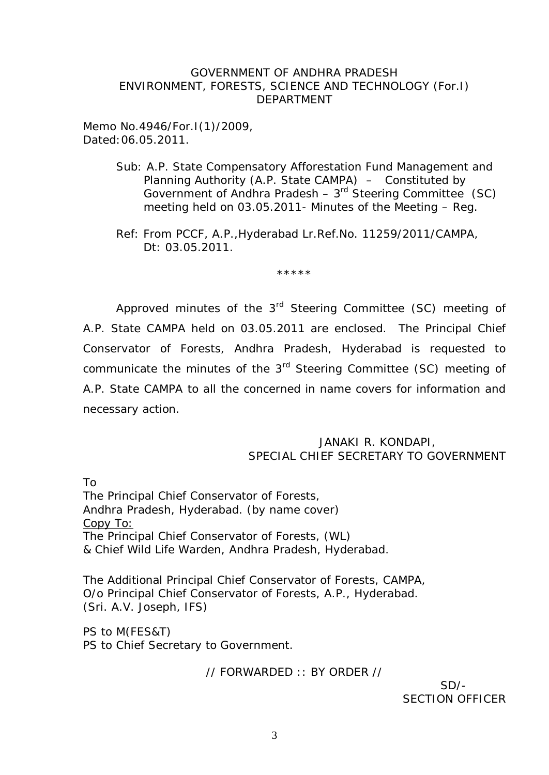### GOVERNMENT OF ANDHRA PRADESH ENVIRONMENT, FORESTS, SCIENCE AND TECHNOLOGY (For.I) DEPARTMENT

Memo No.4946/For.I(1)/2009, Dated:06.05.2011.

- Sub: A.P. State Compensatory Afforestation Fund Management and Planning Authority (A.P. State CAMPA) – Constituted by Government of Andhra Pradesh –  $3<sup>rd</sup>$  Steering Committee (SC) meeting held on 03.05.2011- Minutes of the Meeting – Reg.
- Ref: From PCCF, A.P.,Hyderabad Lr.Ref.No. 11259/2011/CAMPA, Dt: 03.05.2011.

\*\*\*\*\*

Approved minutes of the 3<sup>rd</sup> Steering Committee (SC) meeting of A.P. State CAMPA held on 03.05.2011 are enclosed. The Principal Chief Conservator of Forests, Andhra Pradesh, Hyderabad is requested to communicate the minutes of the 3<sup>rd</sup> Steering Committee (SC) meeting of A.P. State CAMPA to all the concerned in name covers for information and necessary action.

### JANAKI R. KONDAPI, SPECIAL CHIEF SECRETARY TO GOVERNMENT

To The Principal Chief Conservator of Forests, Andhra Pradesh, Hyderabad. (by name cover) Copy To: The Principal Chief Conservator of Forests, (WL) & Chief Wild Life Warden, Andhra Pradesh, Hyderabad.

The Additional Principal Chief Conservator of Forests, CAMPA, O/o Principal Chief Conservator of Forests, A.P., Hyderabad. (Sri. A.V. Joseph, IFS)

PS to M(FES&T) PS to Chief Secretary to Government.

// FORWARDED :: BY ORDER //

 $SD/-$ SECTION OFFICER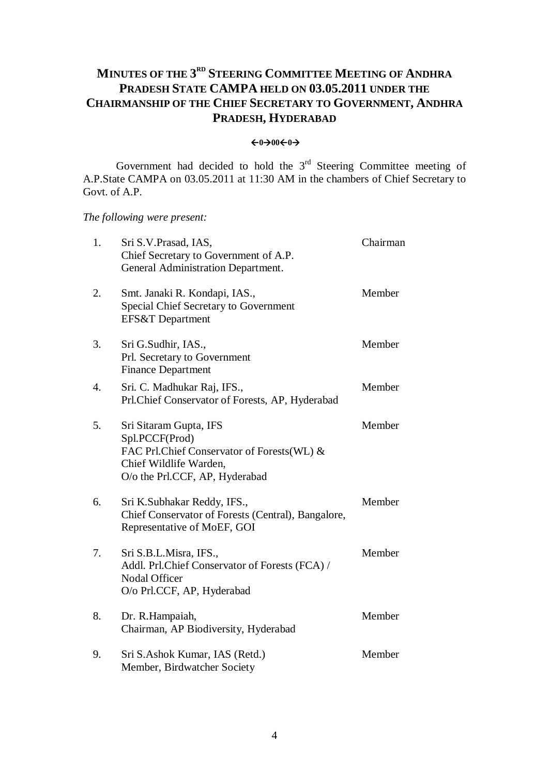### **MINUTES OF THE 3 RD STEERING COMMITTEE MEETING OF ANDHRA PRADESH STATE CAMPA HELD ON 03.05.2011 UNDER THE CHAIRMANSHIP OF THE CHIEF SECRETARY TO GOVERNMENT, ANDHRA PRADESH, HYDERABAD**

#### $\leftarrow 0 \rightarrow 00 \leftarrow 0 \rightarrow$

Government had decided to hold the  $3<sup>rd</sup>$  Steering Committee meeting of A.P.State CAMPA on 03.05.2011 at 11:30 AM in the chambers of Chief Secretary to Govt. of A.P.

*The following were present:*

| 1.               | Sri S.V. Prasad, IAS,<br>Chief Secretary to Government of A.P.<br>General Administration Department.                                               | Chairman |
|------------------|----------------------------------------------------------------------------------------------------------------------------------------------------|----------|
| 2.               | Smt. Janaki R. Kondapi, IAS.,<br>Special Chief Secretary to Government<br>EFS&T Department                                                         | Member   |
| 3.               | Sri G.Sudhir, IAS.,<br>Prl. Secretary to Government<br><b>Finance Department</b>                                                                   | Member   |
| $\overline{4}$ . | Sri. C. Madhukar Raj, IFS.,<br>Prl.Chief Conservator of Forests, AP, Hyderabad                                                                     | Member   |
| 5.               | Sri Sitaram Gupta, IFS<br>Spl.PCCF(Prod)<br>FAC Prl.Chief Conservator of Forests(WL) &<br>Chief Wildlife Warden,<br>O/o the Prl.CCF, AP, Hyderabad | Member   |
| 6.               | Sri K.Subhakar Reddy, IFS.,<br>Chief Conservator of Forests (Central), Bangalore,<br>Representative of MoEF, GOI                                   | Member   |
| 7.               | Sri S.B.L.Misra, IFS.,<br>Addl. Prl.Chief Conservator of Forests (FCA) /<br>Nodal Officer<br>O/o Prl.CCF, AP, Hyderabad                            | Member   |
| 8.               | Dr. R.Hampaiah,<br>Chairman, AP Biodiversity, Hyderabad                                                                                            | Member   |
| 9.               | Sri S.Ashok Kumar, IAS (Retd.)<br>Member, Birdwatcher Society                                                                                      | Member   |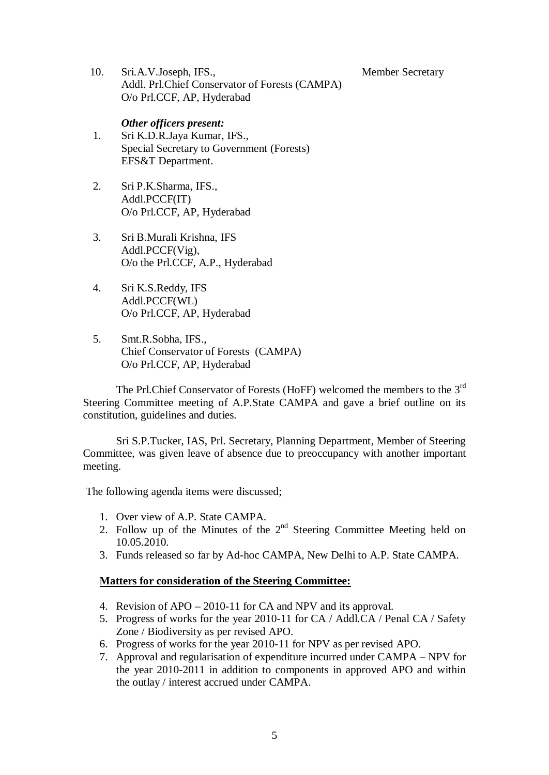Member Secretary

10. Sri.A.V.Joseph, IFS., Addl. Prl.Chief Conservator of Forests (CAMPA) O/o Prl.CCF, AP, Hyderabad

### *Other officers present:* 1. Sri K.D.R.Jaya Kumar, IFS., Special Secretary to Government (Forests) EFS&T Department.

- 2. Sri P.K.Sharma, IFS., Addl.PCCF(IT) O/o Prl.CCF, AP, Hyderabad
- 3. Sri B.Murali Krishna, IFS Addl.PCCF(Vig), O/o the Prl.CCF, A.P., Hyderabad
- 4. Sri K.S.Reddy, IFS Addl.PCCF(WL) O/o Prl.CCF, AP, Hyderabad
- 5. Smt.R.Sobha, IFS., Chief Conservator of Forests (CAMPA) O/o Prl.CCF, AP, Hyderabad

The Prl.Chief Conservator of Forests (HoFF) welcomed the members to the 3<sup>rd</sup> Steering Committee meeting of A.P.State CAMPA and gave a brief outline on its constitution, guidelines and duties.

Sri S.P.Tucker, IAS, Prl. Secretary, Planning Department, Member of Steering Committee, was given leave of absence due to preoccupancy with another important meeting.

The following agenda items were discussed;

- 1. Over view of A.P. State CAMPA.
- 2. Follow up of the Minutes of the  $2<sup>nd</sup>$  Steering Committee Meeting held on 10.05.2010.
- 3. Funds released so far by Ad-hoc CAMPA, New Delhi to A.P. State CAMPA.

### **Matters for consideration of the Steering Committee:**

- 4. Revision of APO 2010-11 for CA and NPV and its approval.
- 5. Progress of works for the year 2010-11 for CA / Addl.CA / Penal CA / Safety Zone / Biodiversity as per revised APO.
- 6. Progress of works for the year 2010-11 for NPV as per revised APO.
- 7. Approval and regularisation of expenditure incurred under CAMPA NPV for the year 2010-2011 in addition to components in approved APO and within the outlay / interest accrued under CAMPA.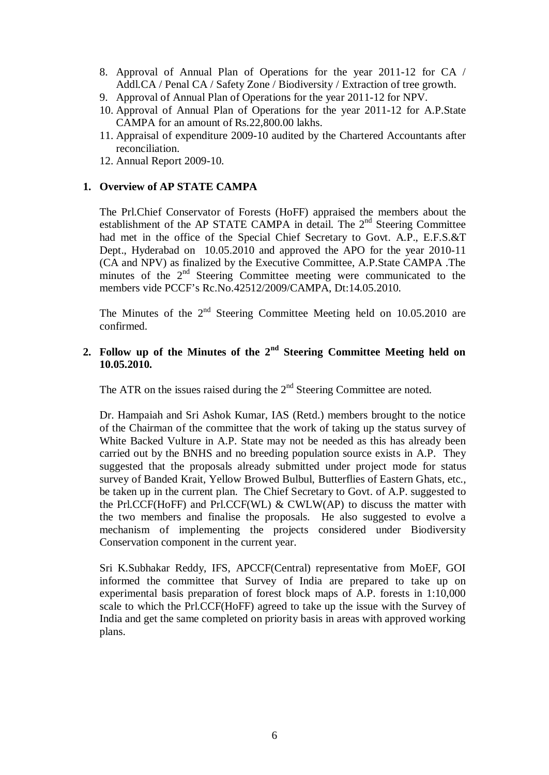- 8. Approval of Annual Plan of Operations for the year 2011-12 for CA / Addl.CA / Penal CA / Safety Zone / Biodiversity / Extraction of tree growth.
- 9. Approval of Annual Plan of Operations for the year 2011-12 for NPV.
- 10. Approval of Annual Plan of Operations for the year 2011-12 for A.P.State CAMPA for an amount of Rs.22,800.00 lakhs.
- 11. Appraisal of expenditure 2009-10 audited by the Chartered Accountants after reconciliation.
- 12. Annual Report 2009-10.

### **1. Overview of AP STATE CAMPA**

The Prl.Chief Conservator of Forests (HoFF) appraised the members about the establishment of the AP STATE CAMPA in detail. The 2<sup>nd</sup> Steering Committee had met in the office of the Special Chief Secretary to Govt. A.P., E.F.S.&T Dept., Hyderabad on 10.05.2010 and approved the APO for the year 2010-11 (CA and NPV) as finalized by the Executive Committee, A.P.State CAMPA .The minutes of the  $2<sup>nd</sup>$  Steering Committee meeting were communicated to the members vide PCCF's Rc.No.42512/2009/CAMPA, Dt:14.05.2010.

The Minutes of the  $2<sup>nd</sup>$  Steering Committee Meeting held on 10.05.2010 are confirmed.

### **2. Follow up of the Minutes of the 2nd Steering Committee Meeting held on 10.05.2010.**

The ATR on the issues raised during the  $2<sup>nd</sup>$  Steering Committee are noted.

Dr. Hampaiah and Sri Ashok Kumar, IAS (Retd.) members brought to the notice of the Chairman of the committee that the work of taking up the status survey of White Backed Vulture in A.P. State may not be needed as this has already been carried out by the BNHS and no breeding population source exists in A.P. They suggested that the proposals already submitted under project mode for status survey of Banded Krait, Yellow Browed Bulbul, Butterflies of Eastern Ghats, etc., be taken up in the current plan. The Chief Secretary to Govt. of A.P. suggested to the Prl.CCF(HoFF) and Prl.CCF(WL)  $&$  CWLW(AP) to discuss the matter with the two members and finalise the proposals. He also suggested to evolve a mechanism of implementing the projects considered under Biodiversity Conservation component in the current year.

Sri K.Subhakar Reddy, IFS, APCCF(Central) representative from MoEF, GOI informed the committee that Survey of India are prepared to take up on experimental basis preparation of forest block maps of A.P. forests in 1:10,000 scale to which the Prl.CCF(HoFF) agreed to take up the issue with the Survey of India and get the same completed on priority basis in areas with approved working plans.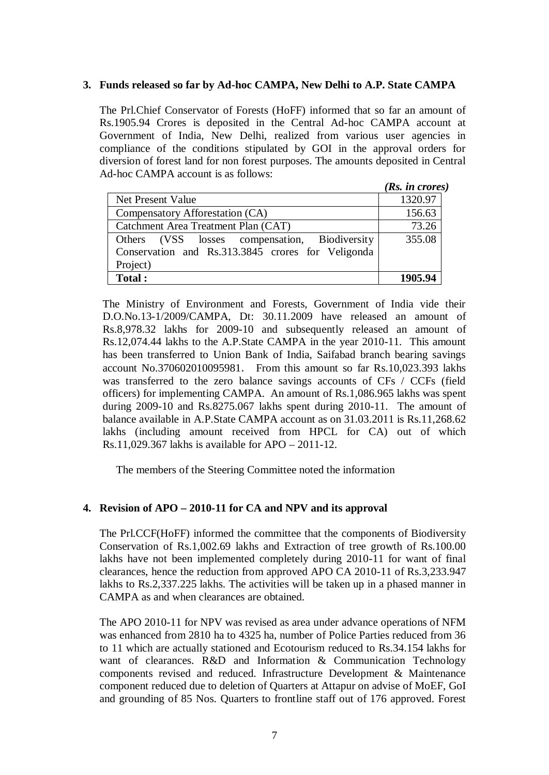### **3. Funds released so far by Ad-hoc CAMPA, New Delhi to A.P. State CAMPA**

The Prl.Chief Conservator of Forests (HoFF) informed that so far an amount of Rs.1905.94 Crores is deposited in the Central Ad-hoc CAMPA account at Government of India, New Delhi, realized from various user agencies in compliance of the conditions stipulated by GOI in the approval orders for diversion of forest land for non forest purposes. The amounts deposited in Central Ad-hoc CAMPA account is as follows:

|                                                   | (Rs. in cross) |
|---------------------------------------------------|----------------|
| Net Present Value                                 | 1320.97        |
| Compensatory Afforestation (CA)                   | 156.63         |
| Catchment Area Treatment Plan (CAT)               | 73.26          |
| Others (VSS losses compensation, Biodiversity     | 355.08         |
| Conservation and Rs.313.3845 crores for Veligonda |                |
| Project)                                          |                |
| Total:                                            | 1905 94        |

The Ministry of Environment and Forests, Government of India vide their D.O.No.13-1/2009/CAMPA, Dt: 30.11.2009 have released an amount of Rs.8,978.32 lakhs for 2009-10 and subsequently released an amount of Rs.12,074.44 lakhs to the A.P.State CAMPA in the year 2010-11. This amount has been transferred to Union Bank of India, Saifabad branch bearing savings account No.370602010095981. From this amount so far Rs.10,023.393 lakhs was transferred to the zero balance savings accounts of CFs / CCFs (field officers) for implementing CAMPA. An amount of Rs.1,086.965 lakhs was spent during 2009-10 and Rs.8275.067 lakhs spent during 2010-11. The amount of balance available in A.P.State CAMPA account as on 31.03.2011 is Rs.11,268.62 lakhs (including amount received from HPCL for CA) out of which Rs.11,029.367 lakhs is available for APO – 2011-12.

The members of the Steering Committee noted the information

### **4. Revision of APO – 2010-11 for CA and NPV and its approval**

The Prl.CCF(HoFF) informed the committee that the components of Biodiversity Conservation of Rs.1,002.69 lakhs and Extraction of tree growth of Rs.100.00 lakhs have not been implemented completely during 2010-11 for want of final clearances, hence the reduction from approved APO CA 2010-11 of Rs.3,233.947 lakhs to Rs.2,337.225 lakhs. The activities will be taken up in a phased manner in CAMPA as and when clearances are obtained.

The APO 2010-11 for NPV was revised as area under advance operations of NFM was enhanced from 2810 ha to 4325 ha, number of Police Parties reduced from 36 to 11 which are actually stationed and Ecotourism reduced to Rs.34.154 lakhs for want of clearances. R&D and Information & Communication Technology components revised and reduced. Infrastructure Development & Maintenance component reduced due to deletion of Quarters at Attapur on advise of MoEF, GoI and grounding of 85 Nos. Quarters to frontline staff out of 176 approved. Forest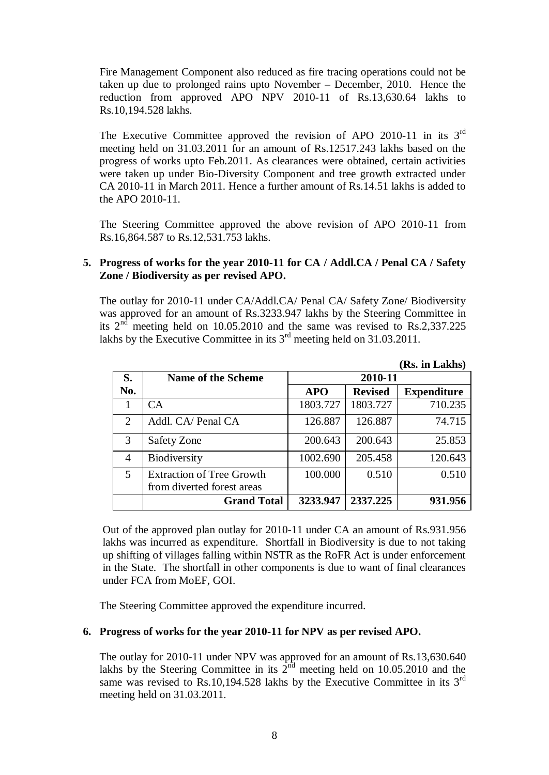Fire Management Component also reduced as fire tracing operations could not be taken up due to prolonged rains upto November – December, 2010. Hence the reduction from approved APO NPV 2010-11 of Rs.13,630.64 lakhs to Rs.10,194.528 lakhs.

The Executive Committee approved the revision of APO 2010-11 in its 3<sup>rd</sup> meeting held on 31.03.2011 for an amount of Rs.12517.243 lakhs based on the progress of works upto Feb.2011. As clearances were obtained, certain activities were taken up under Bio-Diversity Component and tree growth extracted under CA 2010-11 in March 2011. Hence a further amount of Rs.14.51 lakhs is added to the APO 2010-11.

The Steering Committee approved the above revision of APO 2010-11 from Rs.16,864.587 to Rs.12,531.753 lakhs.

### **5. Progress of works for the year 2010-11 for CA / Addl.CA / Penal CA / Safety Zone / Biodiversity as per revised APO.**

The outlay for 2010-11 under CA/Addl.CA/ Penal CA/ Safety Zone/ Biodiversity was approved for an amount of Rs.3233.947 lakhs by the Steering Committee in its  $2<sup>nd</sup>$  meeting held on 10.05.2010 and the same was revised to Rs.2,337.225 lakhs by the Executive Committee in its  $3^{rd}$  meeting held on 31.03.2011.

|                |                                                                |            |                | (Rs. in Lakhs)     |  |  |  |
|----------------|----------------------------------------------------------------|------------|----------------|--------------------|--|--|--|
| S.             | <b>Name of the Scheme</b>                                      | 2010-11    |                |                    |  |  |  |
| No.            |                                                                | <b>APO</b> | <b>Revised</b> | <b>Expenditure</b> |  |  |  |
| 1              | CA.                                                            | 1803.727   | 1803.727       | 710.235            |  |  |  |
| $\overline{2}$ | Addl. CA/ Penal CA                                             | 126.887    | 126.887        | 74.715             |  |  |  |
| 3              | Safety Zone                                                    | 200.643    | 200.643        | 25.853             |  |  |  |
| 4              | <b>Biodiversity</b>                                            | 1002.690   | 205.458        | 120.643            |  |  |  |
| 5              | <b>Extraction of Tree Growth</b><br>from diverted forest areas | 100.000    | 0.510          | 0.510              |  |  |  |
|                | <b>Grand Total</b>                                             | 3233.947   | 2337.225       | 931.956            |  |  |  |

Out of the approved plan outlay for 2010-11 under CA an amount of Rs.931.956 lakhs was incurred as expenditure. Shortfall in Biodiversity is due to not taking up shifting of villages falling within NSTR as the RoFR Act is under enforcement in the State. The shortfall in other components is due to want of final clearances under FCA from MoEF, GOI.

The Steering Committee approved the expenditure incurred.

### **6. Progress of works for the year 2010-11 for NPV as per revised APO.**

The outlay for 2010-11 under NPV was approved for an amount of Rs.13,630.640 lakhs by the Steering Committee in its  $2<sup>nd</sup>$  meeting held on 10.05.2010 and the same was revised to Rs.10,194.528 lakhs by the Executive Committee in its  $3<sup>rd</sup>$ meeting held on 31.03.2011.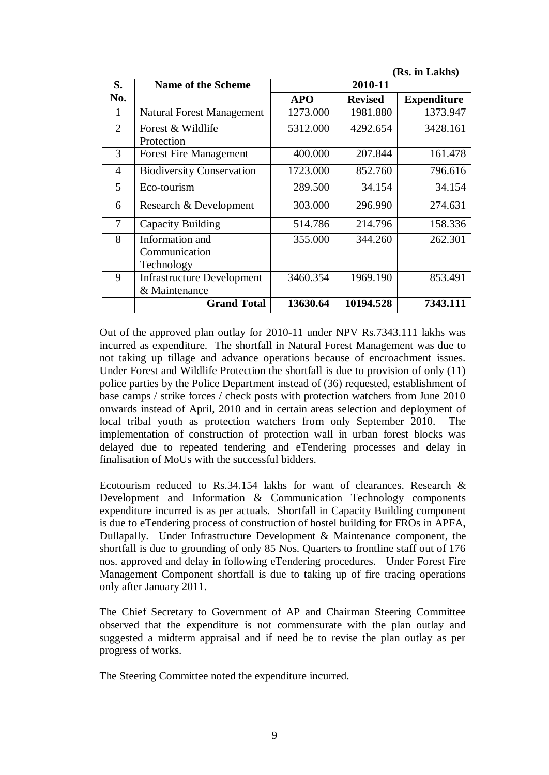|                |                                   |            |                | (Rs. in Lakhs)     |  |  |  |  |  |
|----------------|-----------------------------------|------------|----------------|--------------------|--|--|--|--|--|
| S.             | <b>Name of the Scheme</b>         |            | 2010-11        |                    |  |  |  |  |  |
| No.            |                                   | <b>APO</b> | <b>Revised</b> | <b>Expenditure</b> |  |  |  |  |  |
| 1              | <b>Natural Forest Management</b>  | 1273.000   | 1981.880       | 1373.947           |  |  |  |  |  |
| 2              | Forest & Wildlife                 | 5312.000   | 4292.654       | 3428.161           |  |  |  |  |  |
|                | Protection                        |            |                |                    |  |  |  |  |  |
| 3              | <b>Forest Fire Management</b>     | 400.000    | 207.844        | 161.478            |  |  |  |  |  |
| $\overline{4}$ | <b>Biodiversity Conservation</b>  | 1723.000   | 852.760        | 796.616            |  |  |  |  |  |
| 5              | Eco-tourism                       | 289.500    | 34.154         | 34.154             |  |  |  |  |  |
| 6              | Research & Development            | 303.000    | 296.990        | 274.631            |  |  |  |  |  |
| 7              | Capacity Building                 | 514.786    | 214.796        | 158.336            |  |  |  |  |  |
| 8              | Information and                   | 355.000    | 344.260        | 262.301            |  |  |  |  |  |
|                | Communication                     |            |                |                    |  |  |  |  |  |
|                | Technology                        |            |                |                    |  |  |  |  |  |
| 9              | <b>Infrastructure Development</b> | 3460.354   | 1969.190       | 853.491            |  |  |  |  |  |
|                | & Maintenance                     |            |                |                    |  |  |  |  |  |
|                | <b>Grand Total</b>                | 13630.64   | 10194.528      | 7343.111           |  |  |  |  |  |

Out of the approved plan outlay for 2010-11 under NPV Rs.7343.111 lakhs was incurred as expenditure. The shortfall in Natural Forest Management was due to not taking up tillage and advance operations because of encroachment issues. Under Forest and Wildlife Protection the shortfall is due to provision of only (11) police parties by the Police Department instead of (36) requested, establishment of base camps / strike forces / check posts with protection watchers from June 2010 onwards instead of April, 2010 and in certain areas selection and deployment of local tribal youth as protection watchers from only September 2010. The implementation of construction of protection wall in urban forest blocks was delayed due to repeated tendering and eTendering processes and delay in finalisation of MoUs with the successful bidders.

Ecotourism reduced to Rs.34.154 lakhs for want of clearances. Research & Development and Information & Communication Technology components expenditure incurred is as per actuals. Shortfall in Capacity Building component is due to eTendering process of construction of hostel building for FROs in APFA, Dullapally. Under Infrastructure Development & Maintenance component, the shortfall is due to grounding of only 85 Nos. Quarters to frontline staff out of 176 nos. approved and delay in following eTendering procedures. Under Forest Fire Management Component shortfall is due to taking up of fire tracing operations only after January 2011.

The Chief Secretary to Government of AP and Chairman Steering Committee observed that the expenditure is not commensurate with the plan outlay and suggested a midterm appraisal and if need be to revise the plan outlay as per progress of works.

The Steering Committee noted the expenditure incurred.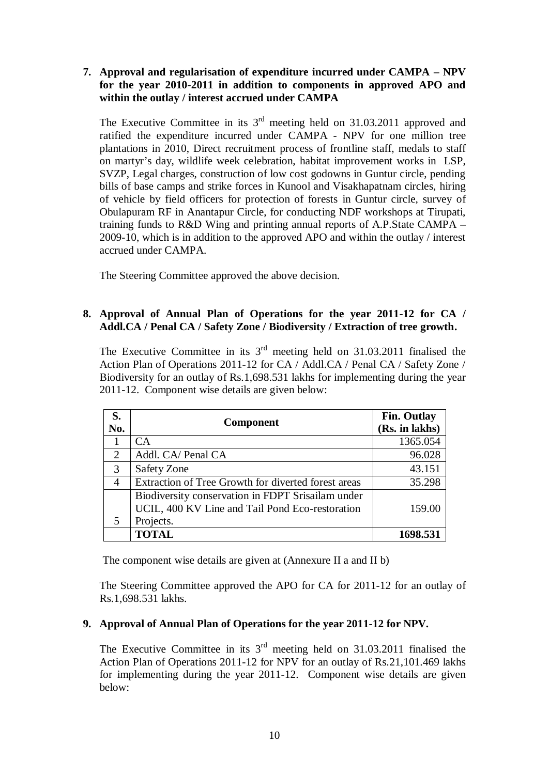### **7. Approval and regularisation of expenditure incurred under CAMPA – NPV for the year 2010-2011 in addition to components in approved APO and within the outlay / interest accrued under CAMPA**

The Executive Committee in its  $3<sup>rd</sup>$  meeting held on 31.03.2011 approved and ratified the expenditure incurred under CAMPA - NPV for one million tree plantations in 2010, Direct recruitment process of frontline staff, medals to staff on martyr's day, wildlife week celebration, habitat improvement works in LSP, SVZP, Legal charges, construction of low cost godowns in Guntur circle, pending bills of base camps and strike forces in Kunool and Visakhapatnam circles, hiring of vehicle by field officers for protection of forests in Guntur circle, survey of Obulapuram RF in Anantapur Circle, for conducting NDF workshops at Tirupati, training funds to R&D Wing and printing annual reports of A.P.State CAMPA – 2009-10, which is in addition to the approved APO and within the outlay / interest accrued under CAMPA.

The Steering Committee approved the above decision.

### **8. Approval of Annual Plan of Operations for the year 2011-12 for CA / Addl.CA / Penal CA / Safety Zone / Biodiversity / Extraction of tree growth.**

The Executive Committee in its  $3<sup>rd</sup>$  meeting held on 31.03.2011 finalised the Action Plan of Operations 2011-12 for CA / Addl.CA / Penal CA / Safety Zone / Biodiversity for an outlay of Rs.1,698.531 lakhs for implementing during the year 2011-12. Component wise details are given below:

| S.<br>No.      | <b>Component</b>                                    | <b>Fin. Outlay</b><br>(Rs. in lakhs) |
|----------------|-----------------------------------------------------|--------------------------------------|
|                | <b>CA</b>                                           | 1365.054                             |
| 2              | Addl. CA/ Penal CA                                  | 96.028                               |
| 3              | <b>Safety Zone</b>                                  | 43.151                               |
| $\overline{4}$ | Extraction of Tree Growth for diverted forest areas | 35.298                               |
|                | Biodiversity conservation in FDPT Srisailam under   |                                      |
|                | UCIL, 400 KV Line and Tail Pond Eco-restoration     | 159.00                               |
| 5              | Projects.                                           |                                      |
|                | <b>TOTAL</b>                                        | 1698.531                             |

The component wise details are given at (Annexure II a and II b)

The Steering Committee approved the APO for CA for 2011-12 for an outlay of Rs.1,698.531 lakhs.

### **9. Approval of Annual Plan of Operations for the year 2011-12 for NPV.**

The Executive Committee in its  $3<sup>rd</sup>$  meeting held on 31.03.2011 finalised the Action Plan of Operations 2011-12 for NPV for an outlay of Rs.21,101.469 lakhs for implementing during the year 2011-12. Component wise details are given below: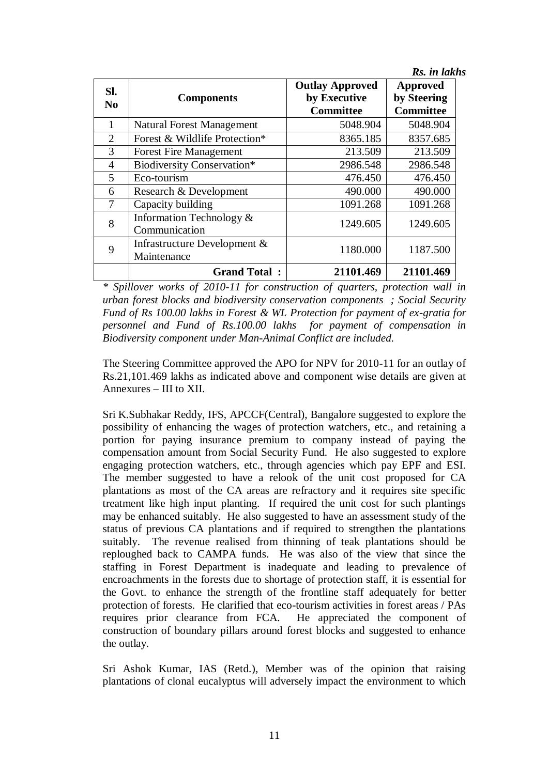|                       |                                             |                                                            | Rs. in lakhs                                       |
|-----------------------|---------------------------------------------|------------------------------------------------------------|----------------------------------------------------|
| Sl.<br>N <sub>0</sub> | <b>Components</b>                           | <b>Outlay Approved</b><br>by Executive<br><b>Committee</b> | <b>Approved</b><br>by Steering<br><b>Committee</b> |
| 1                     | <b>Natural Forest Management</b>            | 5048.904                                                   | 5048.904                                           |
| $\overline{2}$        | Forest & Wildlife Protection*               | 8365.185                                                   | 8357.685                                           |
| 3                     | <b>Forest Fire Management</b>               | 213.509                                                    | 213.509                                            |
| $\overline{4}$        | <b>Biodiversity Conservation*</b>           | 2986.548                                                   | 2986.548                                           |
| 5                     | Eco-tourism                                 | 476.450                                                    | 476.450                                            |
| 6                     | Research & Development                      | 490.000                                                    | 490.000                                            |
| 7                     | Capacity building                           | 1091.268                                                   | 1091.268                                           |
| 8                     | Information Technology &<br>Communication   | 1249.605                                                   | 1249.605                                           |
| 9                     | Infrastructure Development &<br>Maintenance | 1180.000                                                   | 1187.500                                           |
|                       | <b>Grand Total:</b>                         | 21101.469                                                  | 21101.469                                          |

*\* Spillover works of 2010-11 for construction of quarters, protection wall in urban forest blocks and biodiversity conservation components ; Social Security Fund of Rs 100.00 lakhs in Forest & WL Protection for payment of ex-gratia for personnel and Fund of Rs.100.00 lakhs for payment of compensation in Biodiversity component under Man-Animal Conflict are included.*

The Steering Committee approved the APO for NPV for 2010-11 for an outlay of Rs.21,101.469 lakhs as indicated above and component wise details are given at Annexures – III to XII.

Sri K.Subhakar Reddy, IFS, APCCF(Central), Bangalore suggested to explore the possibility of enhancing the wages of protection watchers, etc., and retaining a portion for paying insurance premium to company instead of paying the compensation amount from Social Security Fund. He also suggested to explore engaging protection watchers, etc., through agencies which pay EPF and ESI. The member suggested to have a relook of the unit cost proposed for CA plantations as most of the CA areas are refractory and it requires site specific treatment like high input planting. If required the unit cost for such plantings may be enhanced suitably. He also suggested to have an assessment study of the status of previous CA plantations and if required to strengthen the plantations suitably. The revenue realised from thinning of teak plantations should be reploughed back to CAMPA funds. He was also of the view that since the staffing in Forest Department is inadequate and leading to prevalence of encroachments in the forests due to shortage of protection staff, it is essential for the Govt. to enhance the strength of the frontline staff adequately for better protection of forests. He clarified that eco-tourism activities in forest areas / PAs requires prior clearance from FCA. He appreciated the component of construction of boundary pillars around forest blocks and suggested to enhance the outlay.

Sri Ashok Kumar, IAS (Retd.), Member was of the opinion that raising plantations of clonal eucalyptus will adversely impact the environment to which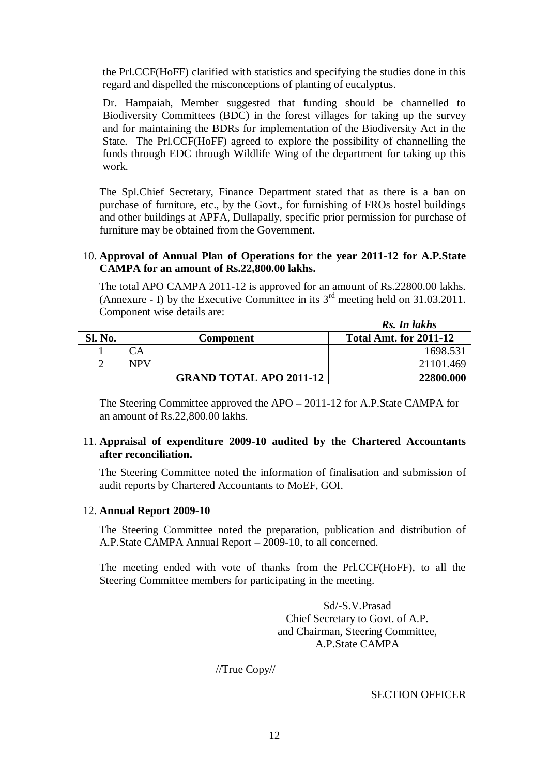the Prl.CCF(HoFF) clarified with statistics and specifying the studies done in this regard and dispelled the misconceptions of planting of eucalyptus.

Dr. Hampaiah, Member suggested that funding should be channelled to Biodiversity Committees (BDC) in the forest villages for taking up the survey and for maintaining the BDRs for implementation of the Biodiversity Act in the State. The Prl.CCF(HoFF) agreed to explore the possibility of channelling the funds through EDC through Wildlife Wing of the department for taking up this work.

The Spl.Chief Secretary, Finance Department stated that as there is a ban on purchase of furniture, etc., by the Govt., for furnishing of FROs hostel buildings and other buildings at APFA, Dullapally, specific prior permission for purchase of furniture may be obtained from the Government.

#### 10. **Approval of Annual Plan of Operations for the year 2011-12 for A.P.State CAMPA for an amount of Rs.22,800.00 lakhs.**

The total APO CAMPA 2011-12 is approved for an amount of Rs.22800.00 lakhs. (Annexure - I) by the Executive Committee in its  $3<sup>rd</sup>$  meeting held on 31.03.2011. Component wise details are:

|         |                                | Rs. In lakhs                  |
|---------|--------------------------------|-------------------------------|
| Sl. No. | Component                      | <b>Total Amt. for 2011-12</b> |
|         |                                | 1698.531                      |
|         | <b>NPV</b>                     | 21101.469                     |
|         | <b>GRAND TOTAL APO 2011-12</b> | 22800.000                     |

The Steering Committee approved the APO – 2011-12 for A.P.State CAMPA for an amount of Rs.22,800.00 lakhs.

### 11. **Appraisal of expenditure 2009-10 audited by the Chartered Accountants after reconciliation.**

The Steering Committee noted the information of finalisation and submission of audit reports by Chartered Accountants to MoEF, GOI.

### 12. **Annual Report 2009-10**

The Steering Committee noted the preparation, publication and distribution of A.P.State CAMPA Annual Report – 2009-10, to all concerned.

The meeting ended with vote of thanks from the Prl.CCF(HoFF), to all the Steering Committee members for participating in the meeting.

> Sd/-S.V.Prasad Chief Secretary to Govt. of A.P. and Chairman, Steering Committee, A.P.State CAMPA

//True Copy//

SECTION OFFICER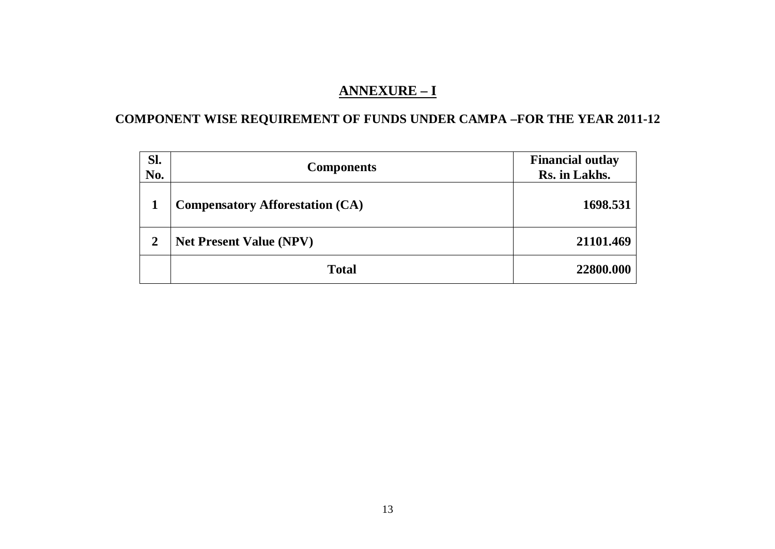# **ANNEXURE – I**

# **COMPONENT WISE REQUIREMENT OF FUNDS UNDER CAMPA –FOR THE YEAR 2011-12**

| Sl.<br>No. | <b>Components</b>                      | <b>Financial outlay</b><br>Rs. in Lakhs. |
|------------|----------------------------------------|------------------------------------------|
|            | <b>Compensatory Afforestation (CA)</b> | 1698.531                                 |
| 2          | <b>Net Present Value (NPV)</b>         | 21101.469                                |
|            | <b>Total</b>                           | 22800.000                                |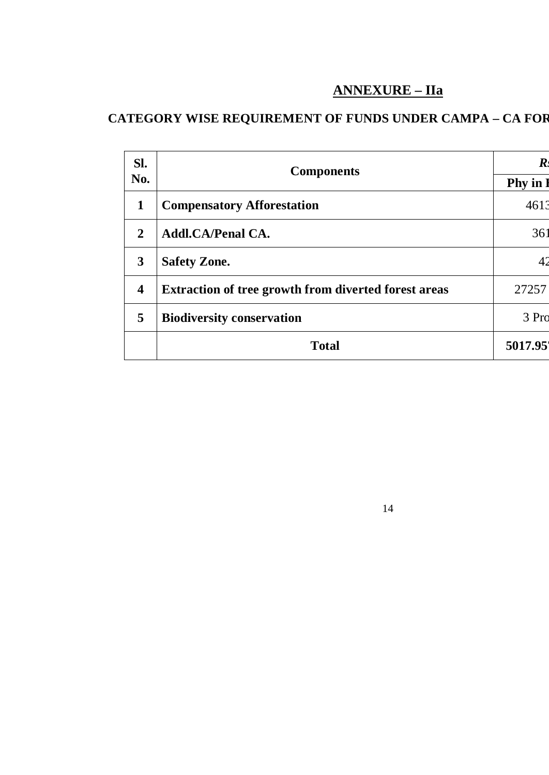# **ANNEXURE – IIa**

14

# **CATEGORY WISE REQUIREMENT OF FUNDS UNDER CAMPA – CA FOR**

|                                                             | <b>Phy</b> in     |
|-------------------------------------------------------------|-------------------|
| <b>Compensatory Afforestation</b>                           | 4613              |
| <b>Addl.CA/Penal CA.</b>                                    | 361               |
| <b>Safety Zone.</b>                                         |                   |
| <b>Extraction of tree growth from diverted forest areas</b> | 27257             |
| <b>Biodiversity conservation</b>                            | 3 Pro             |
| <b>Total</b>                                                | 5017.95           |
|                                                             | <b>Components</b> |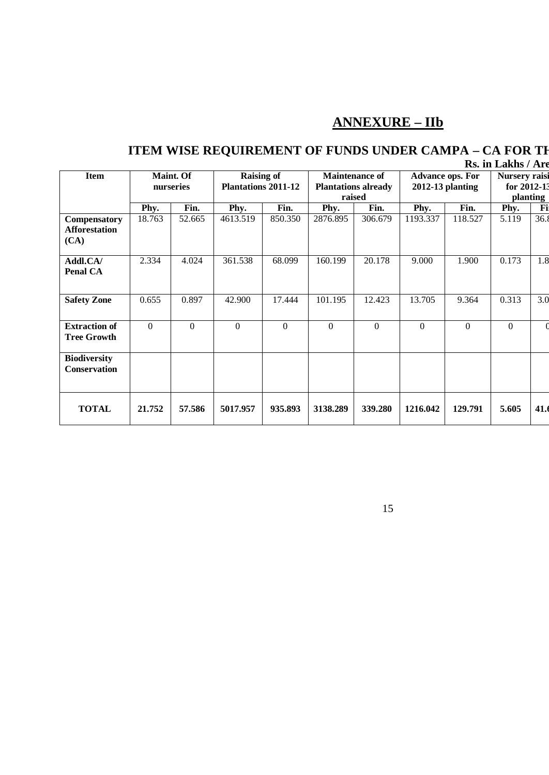# **ANNEXURE – IIb**

### **ITEM WISE REQUIREMENT OF FUNDS UNDER CAMPA – CA FOR THE YEAR 2011 Rs. in Lakhs** / Area

|                                              | лэ. III Lanis / Aru |                                                 |          |                                                               |          |                                                    |          |                                                 |          |      |
|----------------------------------------------|---------------------|-------------------------------------------------|----------|---------------------------------------------------------------|----------|----------------------------------------------------|----------|-------------------------------------------------|----------|------|
| <b>Maint. Of</b><br><b>Item</b><br>nurseries |                     | <b>Raising of</b><br><b>Plantations 2011-12</b> |          | <b>Maintenance of</b><br><b>Plantations already</b><br>raised |          | <b>Advance ops. For</b><br><b>2012-13 planting</b> |          | <b>Nursery</b> raisi<br>for 2012-13<br>planting |          |      |
|                                              | Phy.                | Fin.                                            | Phy.     | Fin.                                                          | Phy.     | Fin.                                               | Phy.     | Fin.                                            | Phy.     | Fi   |
| Compensatory<br><b>Afforestation</b><br>(CA) | 18.763              | 52.665                                          | 4613.519 | 850.350                                                       | 2876.895 | 306.679                                            | 1193.337 | 118.527                                         | 5.119    | 36.8 |
| Addl.CA/<br>Penal CA                         | 2.334               | 4.024                                           | 361.538  | 68.099                                                        | 160.199  | 20.178                                             | 9.000    | 1.900                                           | 0.173    | 1.8  |
| <b>Safety Zone</b>                           | 0.655               | 0.897                                           | 42.900   | 17.444                                                        | 101.195  | 12.423                                             | 13.705   | 9.364                                           | 0.313    | 3.0  |
| <b>Extraction of</b><br><b>Tree Growth</b>   | $\mathbf{0}$        | $\Omega$                                        | $\Omega$ | $\Omega$                                                      | $\Omega$ | $\Omega$                                           | $\Omega$ | $\theta$                                        | $\Omega$ |      |
| <b>Biodiversity</b><br><b>Conservation</b>   |                     |                                                 |          |                                                               |          |                                                    |          |                                                 |          |      |
| <b>TOTAL</b>                                 | 21.752              | 57.586                                          | 5017.957 | 935.893                                                       | 3138.289 | 339.280                                            | 1216.042 | 129.791                                         | 5.605    | 41.  |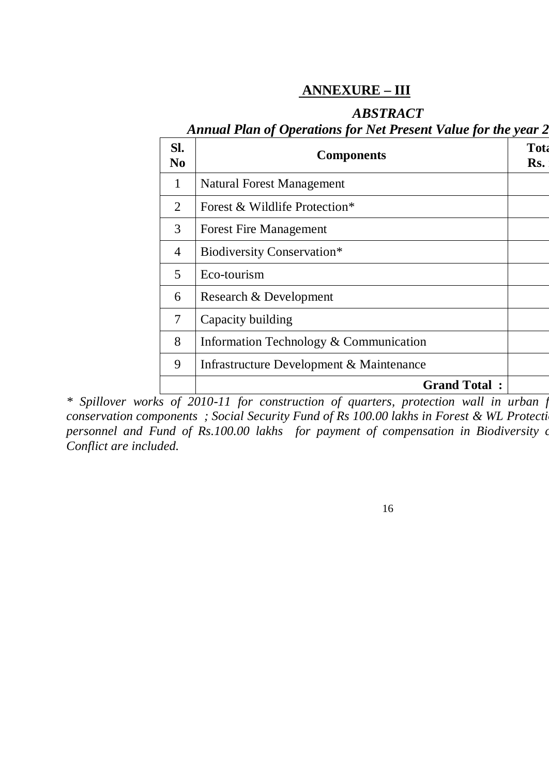## **ANNEXURE – III**

## *ABSTRACT*

# Annual Plan of Operations for Net Present Value for the year 2

| SI.<br>N <sub>0</sub> | <b>Components</b>                        | <b>Tota</b><br>Rs. |
|-----------------------|------------------------------------------|--------------------|
| 1                     | <b>Natural Forest Management</b>         |                    |
| 2                     | Forest & Wildlife Protection*            |                    |
| 3                     | <b>Forest Fire Management</b>            |                    |
| $\overline{4}$        | <b>Biodiversity Conservation*</b>        |                    |
| 5                     | Eco-tourism                              |                    |
| 6                     | Research & Development                   |                    |
| 7                     | Capacity building                        |                    |
| 8                     | Information Technology & Communication   |                    |
| 9                     | Infrastructure Development & Maintenance |                    |
|                       | <b>Grand Total:</b>                      |                    |

\* Spillover works of 2010-11 for construction of quarters, protection wall in urban for *conservation components ; Social Security Fund of Rs 100.00 lakhs in Forest & WL Protection personnel and Fund of Rs.100.00 lakhs for payment of compensation in Biodiversity or Conflict are included.*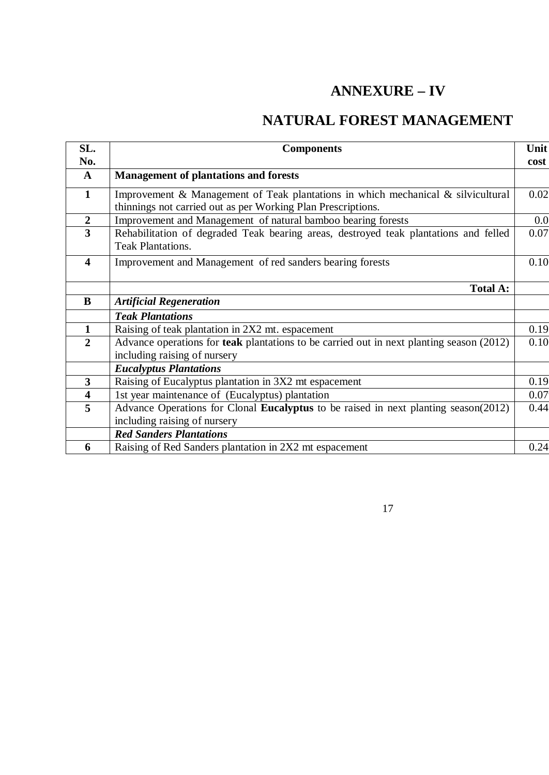# **ANNEXURE – IV**

# **NATURAL FOREST MANAGEMENT**

| SL.                     | <b>Components</b>                                                                                                                                | Unit |
|-------------------------|--------------------------------------------------------------------------------------------------------------------------------------------------|------|
| No.                     |                                                                                                                                                  | cost |
| $\mathbf{A}$            | <b>Management of plantations and forests</b>                                                                                                     |      |
| $\mathbf{1}$            | Improvement & Management of Teak plantations in which mechanical & silvicultural<br>thinnings not carried out as per Working Plan Prescriptions. | 0.02 |
| $\boldsymbol{2}$        | Improvement and Management of natural bamboo bearing forests                                                                                     | 0.0  |
| $\overline{3}$          | Rehabilitation of degraded Teak bearing areas, destroyed teak plantations and felled<br><b>Teak Plantations.</b>                                 | 0.07 |
| $\overline{\mathbf{4}}$ | Improvement and Management of red sanders bearing forests                                                                                        | 0.10 |
|                         | <b>Total A:</b>                                                                                                                                  |      |
| $\bf{B}$                | <b>Artificial Regeneration</b>                                                                                                                   |      |
|                         | <b>Teak Plantations</b>                                                                                                                          |      |
| $\mathbf{1}$            | Raising of teak plantation in 2X2 mt. espacement                                                                                                 | 0.19 |
| $\overline{2}$          | Advance operations for teak plantations to be carried out in next planting season (2012)<br>including raising of nursery                         | 0.10 |
|                         | <b>Eucalyptus Plantations</b>                                                                                                                    |      |
| 3                       | Raising of Eucalyptus plantation in 3X2 mt espacement                                                                                            | 0.19 |
| $\overline{\mathbf{4}}$ | 1st year maintenance of (Eucalyptus) plantation                                                                                                  | 0.07 |
| $\overline{5}$          | Advance Operations for Clonal Eucalyptus to be raised in next planting season(2012)<br>including raising of nursery                              | 0.44 |
|                         | <b>Red Sanders Plantations</b>                                                                                                                   |      |
| 6                       | Raising of Red Sanders plantation in 2X2 mt espacement                                                                                           | 0.24 |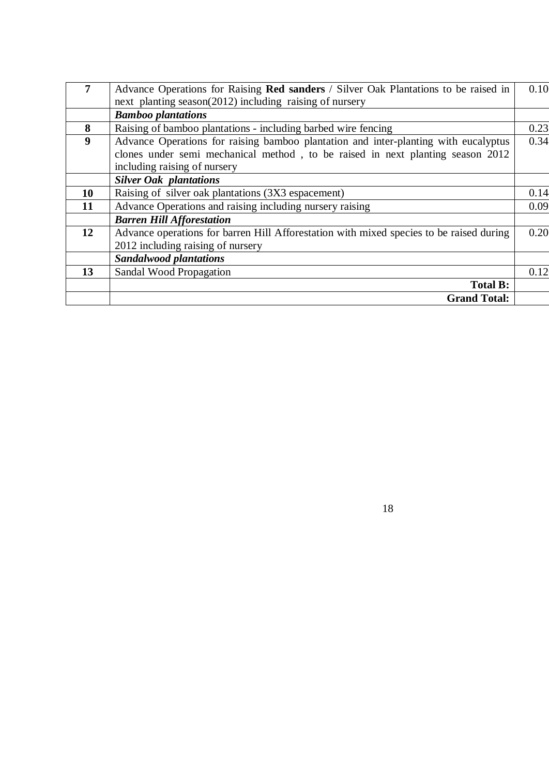| 7                | Advance Operations for Raising Red sanders / Silver Oak Plantations to be raised in     | 0.10 |
|------------------|-----------------------------------------------------------------------------------------|------|
|                  | next planting season(2012) including raising of nursery                                 |      |
|                  | <b>Bamboo plantations</b>                                                               |      |
| 8                | Raising of bamboo plantations - including barbed wire fencing                           | 0.23 |
| $\boldsymbol{9}$ | Advance Operations for raising bamboo plantation and inter-planting with eucalyptus     | 0.34 |
|                  | clones under semi mechanical method, to be raised in next planting season 2012          |      |
|                  | including raising of nursery                                                            |      |
|                  | <b>Silver Oak plantations</b>                                                           |      |
| <b>10</b>        | Raising of silver oak plantations (3X3 espacement)                                      | 0.14 |
| 11               | Advance Operations and raising including nursery raising                                | 0.09 |
|                  | <b>Barren Hill Afforestation</b>                                                        |      |
| 12               | Advance operations for barren Hill Afforestation with mixed species to be raised during | 0.20 |
|                  | 2012 including raising of nursery                                                       |      |
|                  | <b>Sandalwood plantations</b>                                                           |      |
| 13               | Sandal Wood Propagation                                                                 | 0.12 |
|                  | <b>Total B:</b>                                                                         |      |
|                  | <b>Grand Total:</b>                                                                     |      |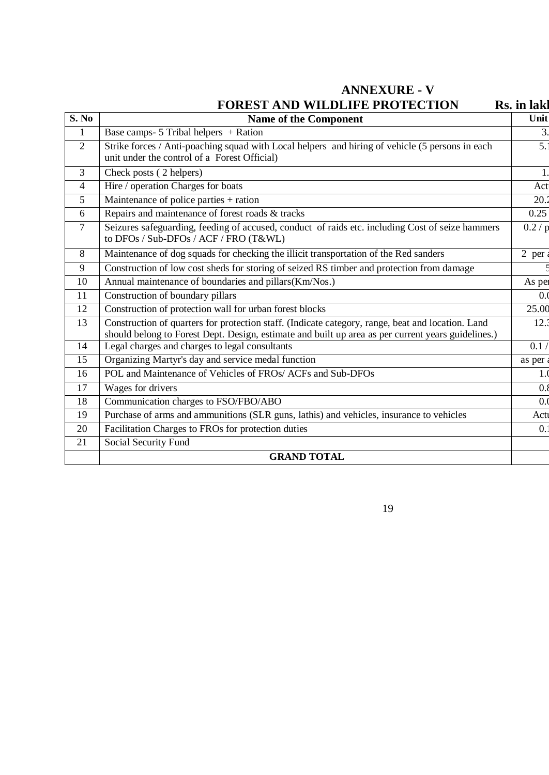## **ANNEXURE - V**

|                | <b>FOREST AND WILDLIFE PROTECTION</b>                                                                                                                                                                   | Rs. in lakl      |
|----------------|---------------------------------------------------------------------------------------------------------------------------------------------------------------------------------------------------------|------------------|
| S. No          | <b>Name of the Component</b>                                                                                                                                                                            | Unit             |
| 1              | Base camps- $5$ Tribal helpers + Ration                                                                                                                                                                 | 3.               |
| 2              | Strike forces / Anti-poaching squad with Local helpers and hiring of vehicle (5 persons in each<br>unit under the control of a Forest Official)                                                         | $\overline{5}$ . |
| 3              | Check posts (2 helpers)                                                                                                                                                                                 | $\mathbf{1}$     |
| $\overline{4}$ | Hire / operation Charges for boats                                                                                                                                                                      | Act              |
| 5              | Maintenance of police parties + ration                                                                                                                                                                  | 20.2             |
| 6              | Repairs and maintenance of forest roads & tracks                                                                                                                                                        | 0.25             |
| $\tau$         | Seizures safeguarding, feeding of accused, conduct of raids etc. including Cost of seize hammers<br>to DFOs / Sub-DFOs / ACF / FRO (T&WL)                                                               | 0.2/p            |
| 8              | Maintenance of dog squads for checking the illicit transportation of the Red sanders                                                                                                                    | $2$ per          |
| 9              | Construction of low cost sheds for storing of seized RS timber and protection from damage                                                                                                               |                  |
| 10             | Annual maintenance of boundaries and pillars(Km/Nos.)                                                                                                                                                   | As per           |
| 11             | Construction of boundary pillars                                                                                                                                                                        | 0.0              |
| 12             | Construction of protection wall for urban forest blocks                                                                                                                                                 | 25.00            |
| 13             | Construction of quarters for protection staff. (Indicate category, range, beat and location. Land<br>should belong to Forest Dept. Design, estimate and built up area as per current years guidelines.) | 12.3             |
| 14             | Legal charges and charges to legal consultants                                                                                                                                                          | 0.1/             |
| 15             | Organizing Martyr's day and service medal function                                                                                                                                                      | as per           |
| 16             | POL and Maintenance of Vehicles of FROs/ ACFs and Sub-DFOs                                                                                                                                              | 1.0              |
| 17             | Wages for drivers                                                                                                                                                                                       | 0.8              |
| 18             | Communication charges to FSO/FBO/ABO                                                                                                                                                                    | 0.0              |
| 19             | Purchase of arms and ammunitions (SLR guns, lathis) and vehicles, insurance to vehicles                                                                                                                 | Actu             |
| 20             | Facilitation Charges to FROs for protection duties                                                                                                                                                      | $\overline{0}$ . |
| 21             | Social Security Fund                                                                                                                                                                                    |                  |
|                | <b>GRAND TOTAL</b>                                                                                                                                                                                      |                  |
|                |                                                                                                                                                                                                         |                  |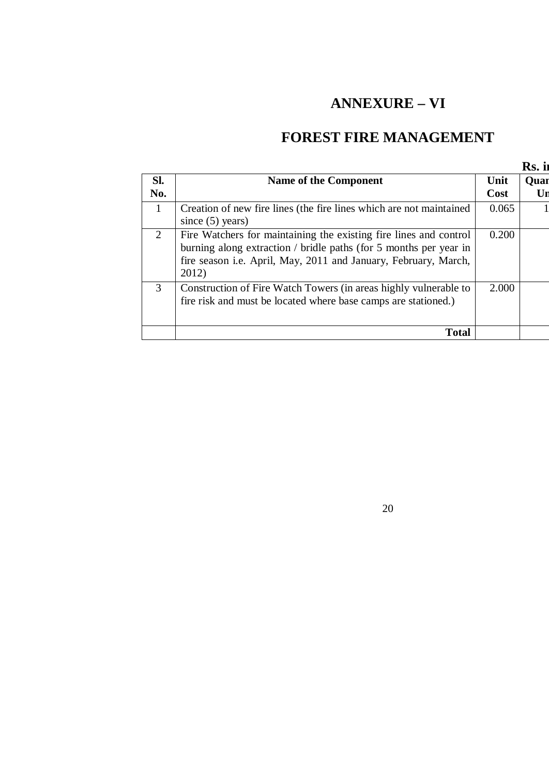# **ANNEXURE – VI**

# **FOREST FIRE MANAGEMENT**

|              |                                                                                                                                                                                                                    |              | Rs. ii     |
|--------------|--------------------------------------------------------------------------------------------------------------------------------------------------------------------------------------------------------------------|--------------|------------|
| SI.<br>No.   | Name of the Component                                                                                                                                                                                              | Unit<br>Cost | Quar<br>Ur |
| $\mathbf{1}$ | Creation of new fire lines (the fire lines which are not maintained<br>since $(5)$ years)                                                                                                                          | 0.065        |            |
| 2            | Fire Watchers for maintaining the existing fire lines and control<br>burning along extraction / bridle paths (for 5 months per year in<br>fire season i.e. April, May, 2011 and January, February, March,<br>2012) | 0.200        |            |
| 3            | Construction of Fire Watch Towers (in areas highly vulnerable to<br>fire risk and must be located where base camps are stationed.)                                                                                 | 2.000        |            |
|              | Total                                                                                                                                                                                                              |              |            |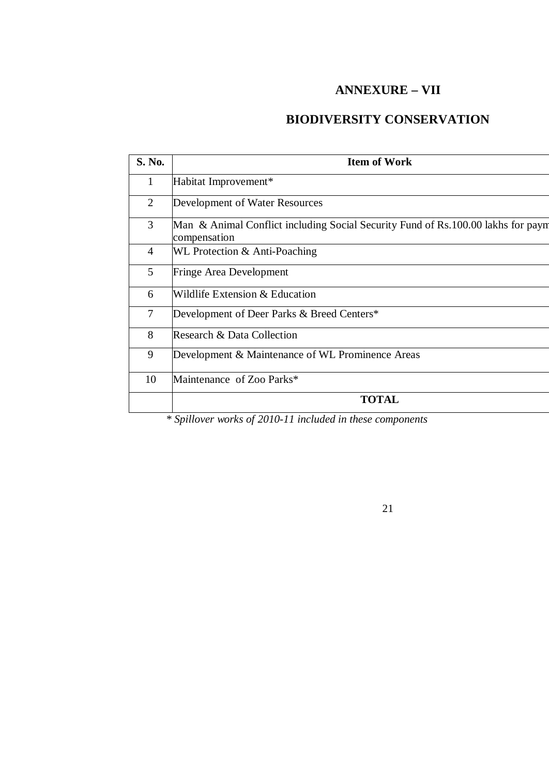## **ANNEXURE – VII**

## **BIODIVERSITY CONSERVATION**

| <b>Item of Work</b>                                                                              |
|--------------------------------------------------------------------------------------------------|
| Habitat Improvement*                                                                             |
| Development of Water Resources                                                                   |
| Man & Animal Conflict including Social Security Fund of Rs.100.00 lakhs for payn<br>compensation |
| WL Protection & Anti-Poaching                                                                    |
| <b>Fringe Area Development</b>                                                                   |
| Wildlife Extension & Education                                                                   |
| Development of Deer Parks & Breed Centers*                                                       |
| Research & Data Collection                                                                       |
| Development & Maintenance of WL Prominence Areas                                                 |
| Maintenance of Zoo Parks*                                                                        |
| <b>TOTAL</b>                                                                                     |
|                                                                                                  |

*\* Spillover works of 2010-11 included in these components*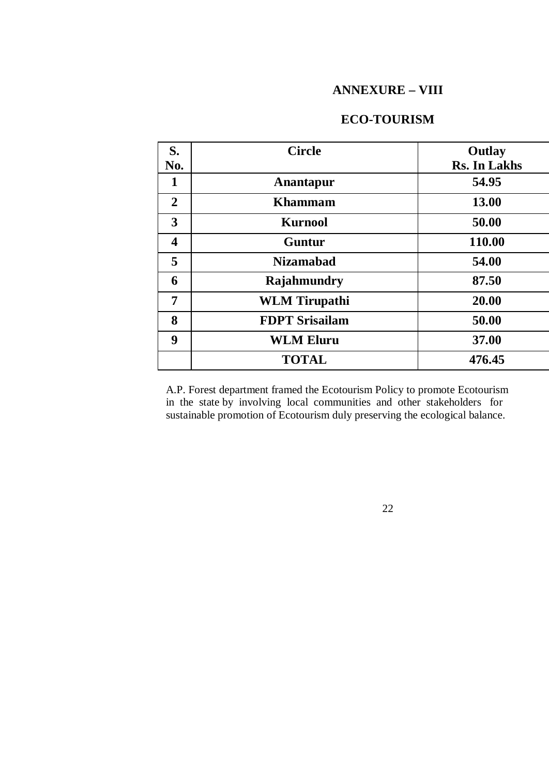### **ANNEXURE – VIII**

## **ECO-TOURISM**

| S.                      | <b>Circle</b>         | Outlay              |
|-------------------------|-----------------------|---------------------|
| No.                     |                       | <b>Rs. In Lakhs</b> |
| 1                       | Anantapur             | 54.95               |
| $\overline{2}$          | <b>Khammam</b>        | 13.00               |
| 3                       | <b>Kurnool</b>        | 50.00               |
| $\overline{\mathbf{4}}$ | Guntur                | 110.00              |
| 5                       | <b>Nizamabad</b>      | 54.00               |
| 6                       | Rajahmundry           | 87.50               |
| 7                       | <b>WLM</b> Tirupathi  | 20.00               |
| 8                       | <b>FDPT Srisailam</b> | 50.00               |
| 9                       | <b>WLM Eluru</b>      | 37.00               |
|                         | <b>TOTAL</b>          | 476.45              |

A.P. Forest department framed the Ecotourism Policy to promote Ecotourism in the state by involving local communities and other stakeholders for sustainable promotion of Ecotourism duly preserving the ecological balance.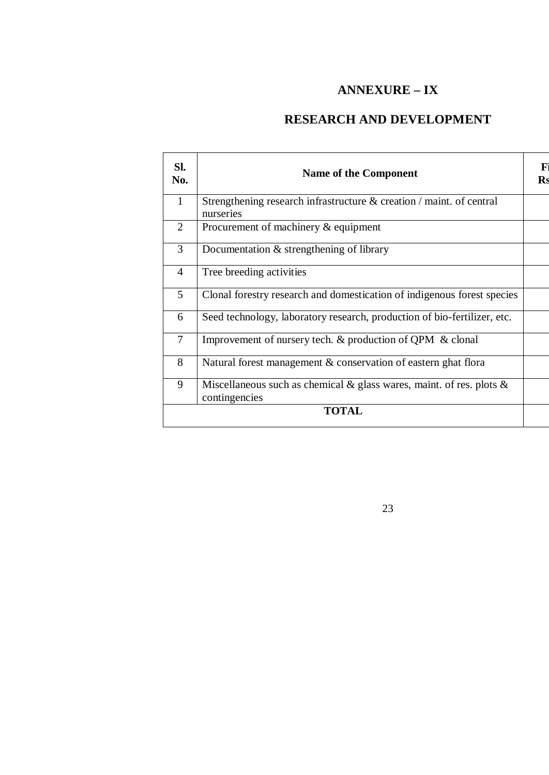## **ANNEXURE – IX**

## **RESEARCH AND DEVELOPMENT**

| SI.<br>No.     | <b>Name of the Component</b>                                                                | F<br><b>Rs</b> |
|----------------|---------------------------------------------------------------------------------------------|----------------|
| 1              | Strengthening research infrastructure & creation / maint. of central<br>nurseries           |                |
| 2              | Procurement of machinery & equipment                                                        |                |
| 3              | Documentation & strengthening of library                                                    |                |
| $\overline{4}$ | Tree breeding activities                                                                    |                |
| 5              | Clonal forestry research and domestication of indigenous forest species                     |                |
| 6              | Seed technology, laboratory research, production of bio-fertilizer, etc.                    |                |
| $\overline{7}$ | Improvement of nursery tech. & production of QPM & clonal                                   |                |
| 8              | Natural forest management & conservation of eastern ghat flora                              |                |
| 9              | Miscellaneous such as chemical $\&$ glass wares, maint. of res. plots $\&$<br>contingencies |                |
|                | <b>TOTAL</b>                                                                                |                |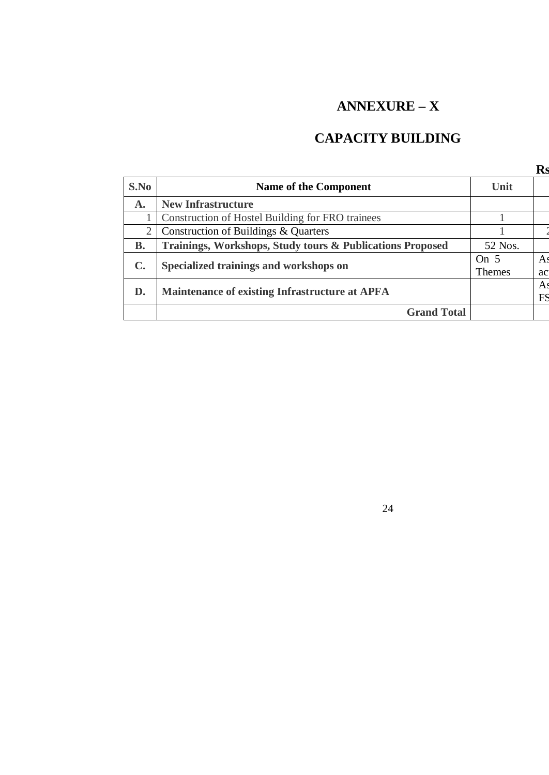# **ANNEXURE – X**

# **CAPACITY BUILDING**

|                |                                                           |         | $\mathbf{R}$ s |
|----------------|-----------------------------------------------------------|---------|----------------|
| S.No           | <b>Name of the Component</b>                              | Unit    |                |
| $\mathbf{A}$ . | <b>New Infrastructure</b>                                 |         |                |
|                | Construction of Hostel Building for FRO trainees          |         |                |
| $\overline{2}$ | Construction of Buildings & Quarters                      |         |                |
| <b>B.</b>      | Trainings, Workshops, Study tours & Publications Proposed | 52 Nos. |                |
| $\mathbf{C}$ . | Specialized trainings and workshops on                    | On $5$  | A <sub>s</sub> |
|                |                                                           | Themes  | ac             |
| D.             | <b>Maintenance of existing Infrastructure at APFA</b>     |         | A.             |
|                |                                                           |         | FS             |
|                | <b>Grand Total</b>                                        |         |                |
|                |                                                           |         |                |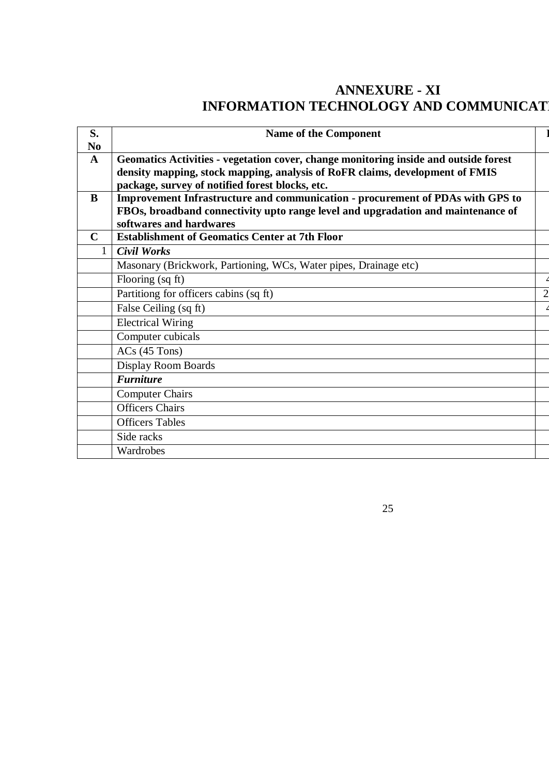# **ANNEXURE - XI INFORMATION TECHNOLOGY AND COMMUNICATION**

| S.<br>N <sub>0</sub> | <b>Name of the Component</b>                                                                                                                                                                                            |   |
|----------------------|-------------------------------------------------------------------------------------------------------------------------------------------------------------------------------------------------------------------------|---|
| $\mathbf{A}$         | Geomatics Activities - vegetation cover, change monitoring inside and outside forest<br>density mapping, stock mapping, analysis of RoFR claims, development of FMIS<br>package, survey of notified forest blocks, etc. |   |
| B                    | Improvement Infrastructure and communication - procurement of PDAs with GPS to                                                                                                                                          |   |
|                      | FBOs, broadband connectivity upto range level and upgradation and maintenance of                                                                                                                                        |   |
| $\mathbf C$          | softwares and hardwares<br><b>Establishment of Geomatics Center at 7th Floor</b>                                                                                                                                        |   |
| 1                    | <b>Civil Works</b>                                                                                                                                                                                                      |   |
|                      | Masonary (Brickwork, Partioning, WCs, Water pipes, Drainage etc)                                                                                                                                                        |   |
|                      | Flooring (sq ft)                                                                                                                                                                                                        |   |
|                      | Partitiong for officers cabins (sq ft)                                                                                                                                                                                  | 2 |
|                      | False Ceiling (sq ft)                                                                                                                                                                                                   |   |
|                      | <b>Electrical Wiring</b>                                                                                                                                                                                                |   |
|                      | Computer cubicals                                                                                                                                                                                                       |   |
|                      | $ACs$ (45 Tons)                                                                                                                                                                                                         |   |
|                      | <b>Display Room Boards</b>                                                                                                                                                                                              |   |
|                      | <b>Furniture</b>                                                                                                                                                                                                        |   |
|                      | <b>Computer Chairs</b>                                                                                                                                                                                                  |   |
|                      | <b>Officers Chairs</b>                                                                                                                                                                                                  |   |
|                      | <b>Officers Tables</b>                                                                                                                                                                                                  |   |
|                      | Side racks                                                                                                                                                                                                              |   |
|                      | Wardrobes                                                                                                                                                                                                               |   |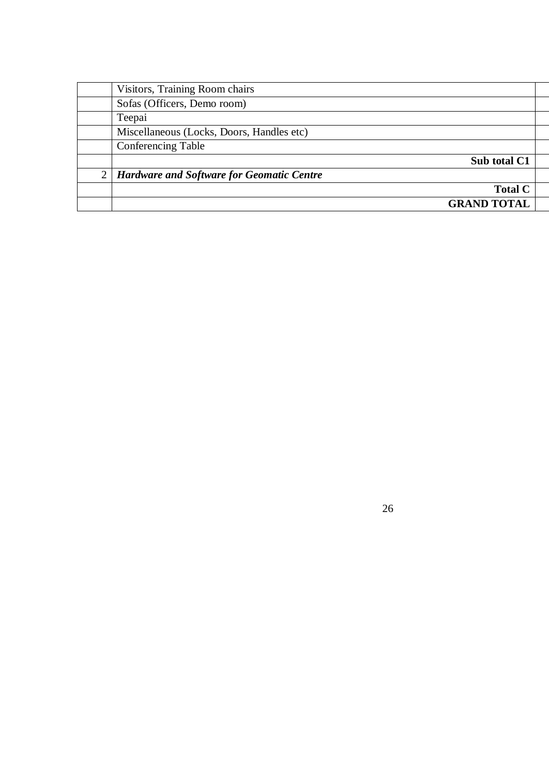|   | Visitors, Training Room chairs                   |                    |
|---|--------------------------------------------------|--------------------|
|   | Sofas (Officers, Demo room)                      |                    |
|   | Teepai                                           |                    |
|   | Miscellaneous (Locks, Doors, Handles etc)        |                    |
|   | <b>Conferencing Table</b>                        |                    |
|   |                                                  | Sub total C1       |
| 2 | <b>Hardware and Software for Geomatic Centre</b> |                    |
|   |                                                  | <b>Total C</b>     |
|   |                                                  | <b>GRAND TOTAL</b> |